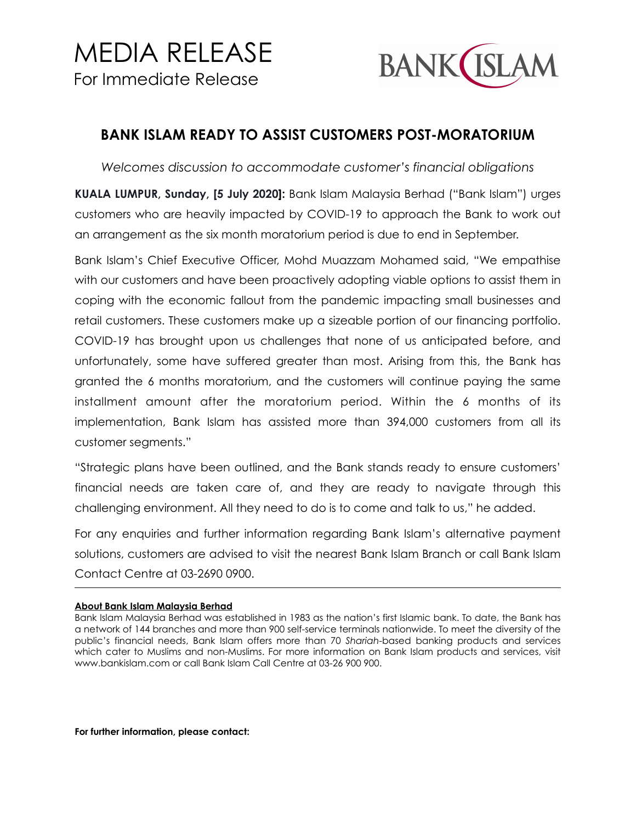## MEDIA RELEASE For Immediate Release



## **BANK ISLAM READY TO ASSIST CUSTOMERS POST-MORATORIUM**

*Welcomes discussion to accommodate customer's financial obligations* 

**KUALA LUMPUR, Sunday, [5 July 2020]:** Bank Islam Malaysia Berhad ("Bank Islam") urges customers who are heavily impacted by COVID-19 to approach the Bank to work out an arrangement as the six month moratorium period is due to end in September.

Bank Islam's Chief Executive Officer, Mohd Muazzam Mohamed said, "We empathise with our customers and have been proactively adopting viable options to assist them in coping with the economic fallout from the pandemic impacting small businesses and retail customers. These customers make up a sizeable portion of our financing portfolio. COVID-19 has brought upon us challenges that none of us anticipated before, and unfortunately, some have suffered greater than most. Arising from this, the Bank has granted the 6 months moratorium, and the customers will continue paying the same installment amount after the moratorium period. Within the 6 months of its implementation, Bank Islam has assisted more than 394,000 customers from all its customer segments."

"Strategic plans have been outlined, and the Bank stands ready to ensure customers' financial needs are taken care of, and they are ready to navigate through this challenging environment. All they need to do is to come and talk to us," he added.

For any enquiries and further information regarding Bank Islam's alternative payment solutions, customers are advised to visit the nearest Bank Islam Branch or call Bank Islam Contact Centre at 03-2690 0900.

## **About Bank Islam Malaysia Berhad**

**For further information, please contact:** 

Bank Islam Malaysia Berhad was established in 1983 as the nation's first Islamic bank. To date, the Bank has a network of 144 branches and more than 900 self-service terminals nationwide. To meet the diversity of the public's financial needs, Bank Islam offers more than 70 *Shariah*-based banking products and services which cater to Muslims and non-Muslims. For more information on Bank Islam products and services, visit www.bankislam.com or call Bank Islam Call Centre at 03-26 900 900.